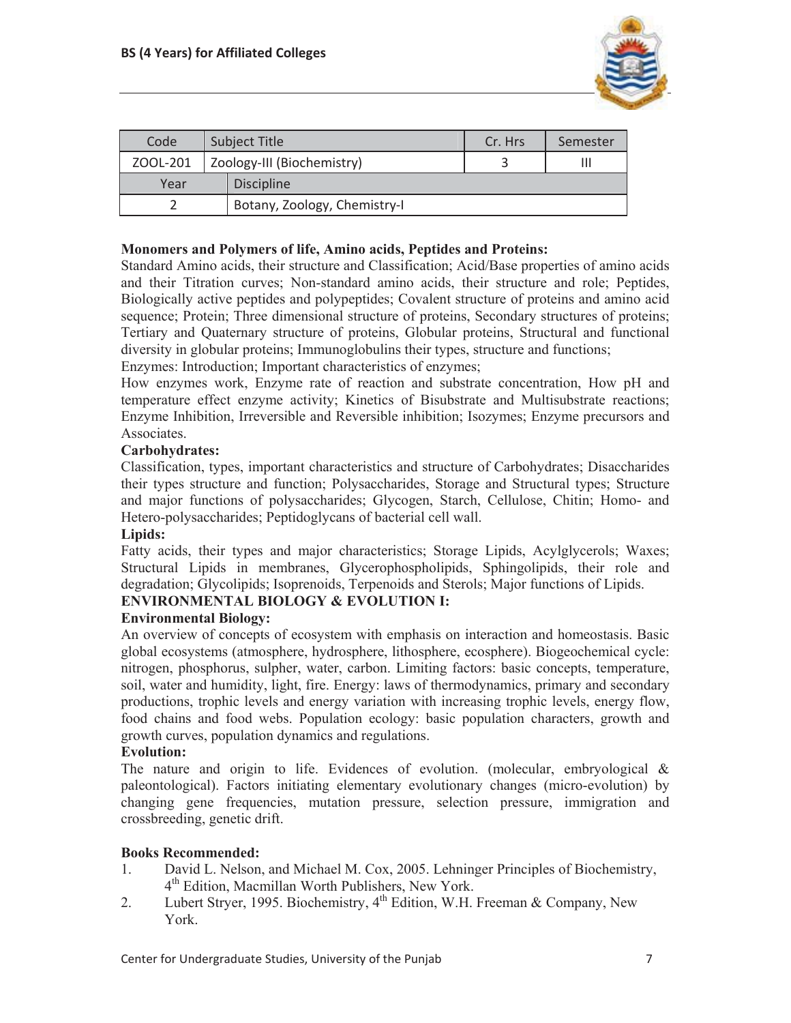

| Code     | Subject Title |                              | Cr. Hrs | Semester |
|----------|---------------|------------------------------|---------|----------|
| ZOOL-201 |               | Zoology-III (Biochemistry)   |         | Ш        |
| Year     |               | <b>Discipline</b>            |         |          |
|          |               | Botany, Zoology, Chemistry-I |         |          |

## **Monomers and Polymers of life, Amino acids, Peptides and Proteins:**

Standard Amino acids, their structure and Classification; Acid/Base properties of amino acids and their Titration curves; Non-standard amino acids, their structure and role; Peptides, Biologically active peptides and polypeptides; Covalent structure of proteins and amino acid sequence; Protein; Three dimensional structure of proteins, Secondary structures of proteins; Tertiary and Quaternary structure of proteins, Globular proteins, Structural and functional diversity in globular proteins; Immunoglobulins their types, structure and functions;

Enzymes: Introduction; Important characteristics of enzymes;

How enzymes work, Enzyme rate of reaction and substrate concentration, How pH and temperature effect enzyme activity; Kinetics of Bisubstrate and Multisubstrate reactions; Enzyme Inhibition, Irreversible and Reversible inhibition; Isozymes; Enzyme precursors and Associates.

## **Carbohydrates:**

Classification, types, important characteristics and structure of Carbohydrates; Disaccharides their types structure and function; Polysaccharides, Storage and Structural types; Structure and major functions of polysaccharides; Glycogen, Starch, Cellulose, Chitin; Homo- and Hetero-polysaccharides; Peptidoglycans of bacterial cell wall.

## **Lipids:**

Fatty acids, their types and major characteristics; Storage Lipids, Acylglycerols; Waxes; Structural Lipids in membranes, Glycerophospholipids, Sphingolipids, their role and degradation; Glycolipids; Isoprenoids, Terpenoids and Sterols; Major functions of Lipids.

# **ENVIRONMENTAL BIOLOGY & EVOLUTION I:**

## **Environmental Biology:**

An overview of concepts of ecosystem with emphasis on interaction and homeostasis. Basic global ecosystems (atmosphere, hydrosphere, lithosphere, ecosphere). Biogeochemical cycle: nitrogen, phosphorus, sulpher, water, carbon. Limiting factors: basic concepts, temperature, soil, water and humidity, light, fire. Energy: laws of thermodynamics, primary and secondary productions, trophic levels and energy variation with increasing trophic levels, energy flow, food chains and food webs. Population ecology: basic population characters, growth and growth curves, population dynamics and regulations.

## **Evolution:**

The nature and origin to life. Evidences of evolution. (molecular, embryological  $\&$ paleontological). Factors initiating elementary evolutionary changes (micro-evolution) by changing gene frequencies, mutation pressure, selection pressure, immigration and crossbreeding, genetic drift.

## **Books Recommended:**

- 1. David L. Nelson, and Michael M. Cox, 2005. Lehninger Principles of Biochemistry, 4<sup>th</sup> Edition, Macmillan Worth Publishers, New York.
- 2. Lubert Stryer, 1995. Biochemistry,  $4^{th}$  Edition, W.H. Freeman & Company, New York.